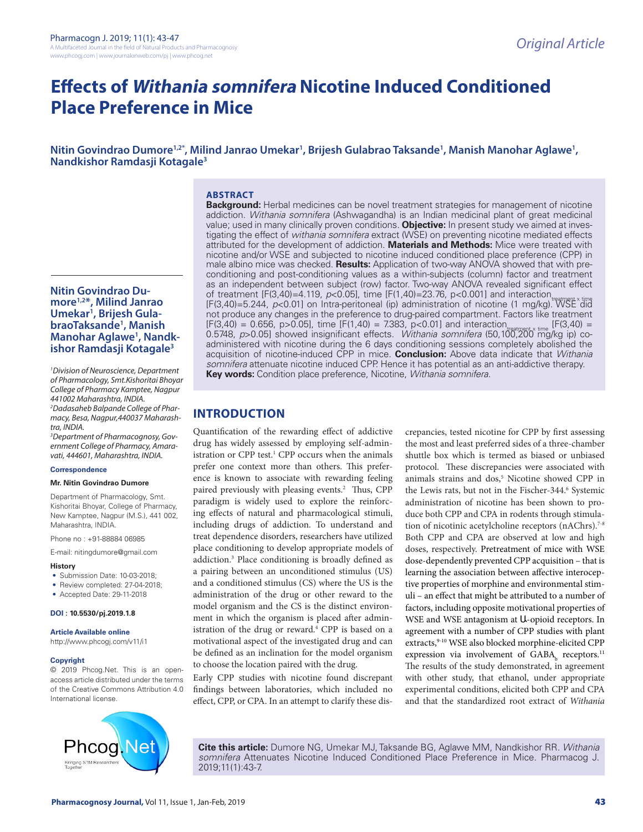# **Effects of Withania somnifera Nicotine Induced Conditioned Place Preference in Mice**

Nitin Govindrao Dumore<sup>1,2\*</sup>, Milind Janrao Umekar<sup>1</sup>, Brijesh Gulabrao Taksande<sup>1</sup>, Manish Manohar Aglawe<sup>1</sup>, **Nandkishor Ramdasji Kotagale3**

#### **Nitin Govindrao Dumore1,2\*, Milind Janrao Umekar1 , Brijesh GulabraoTaksande1 , Manish Manohar Aglawe1 , Nandkishor Ramdasji Kotagale3**

*1 Division of Neuroscience, Department of Pharmacology, Smt.Kishoritai Bhoyar College of Pharmacy Kamptee, Nagpur 441002 Maharashtra, INDIA.*

*2 Dadasaheb Balpande College of Pharmacy, Besa, Nagpur,440037 Maharashtra, INDIA.*

*3 Department of Pharmacognosy, Government College of Pharmacy, Amaravati, 444601, Maharashtra, INDIA.*

#### **Correspondence**

#### **Mr. Nitin Govindrao Dumore**

Department of Pharmacology, Smt. Kishoritai Bhoyar, College of Pharmacy, New Kamptee, Nagpur (M.S.), 441 002, Maharashtra, INDIA.

Phone no : +91-88884 06985

E-mail: nitingdumore@gmail.com

#### **History**

- Submission Date: 10-03-2018:
- Review completed: 27-04-2018;
- Accepted Date: 29-11-2018

#### **DOI : 10.5530/pj.2019.1.8**

#### **Article Available online**

http://www.phcogj.com/v11/i1

#### **Copyright**

© 2019 Phcog.Net. This is an openaccess article distributed under the terms of the Creative Commons Attribution 4.0 International license.



#### **ABSTRACT**

**Background:** Herbal medicines can be novel treatment strategies for management of nicotine addiction. *Withania somnifera* (Ashwagandha) is an Indian medicinal plant of great medicinal value; used in many clinically proven conditions. **Objective:** In present study we aimed at investigating the effect of *withania somnifera* extract (WSE) on preventing nicotine mediated effects attributed for the development of addiction. **Materials and Methods:** Mice were treated with nicotine and/or WSE and subjected to nicotine induced conditioned place preference (CPP) in male albino mice was checked. **Results:** Application of two-way ANOVA showed that with preconditioning and post-conditioning values as a within-subjects (column) factor and treatment as an independent between subject (row) factor. Two-way ANOVA revealed significant effect of treatment [F(3,40)=4.119, *p*<0.05], time [F(1,40)=23.76, p<0.001] and interaction watment x time<br>[F(3,40)=5.244, *p*<0.01] on Intra-peritoneal (ip) administration of nicotine (1 mg/kg). WSE did not produce any changes in the preference to drug-paired compartment. Factors like treatment  $[F(3,40) = 0.656, p > 0.05]$ , time  $[F(1,40) = 7.383, p < 0.01]$  and interaction<sub>tratment x time</sub>  $[F(3,40) =$ 0.5748, *p*>0.05] showed insignificant effects. *Withania somnifera* (50,100,200 mg/kg ip) coadministered with nicotine during the 6 days conditioning sessions completely abolished the acquisition of nicotine-induced CPP in mice. **Conclusion:** Above data indicate that *Withania somnifera* attenuate nicotine induced CPP. Hence it has potential as an anti-addictive therapy. **Key words:** Condition place preference, Nicotine, *Withania somnifera*.

# **INTRODUCTION**

Quantification of the rewarding effect of addictive drug has widely assessed by employing self-administration or CPP test.<sup>1</sup> CPP occurs when the animals prefer one context more than others. This preference is known to associate with rewarding feeling paired previously with pleasing events.<sup>2</sup> Thus, CPP paradigm is widely used to explore the reinforcing effects of natural and pharmacological stimuli, including drugs of addiction. To understand and treat dependence disorders, researchers have utilized place conditioning to develop appropriate models of addiction.3 Place conditioning is broadly defined as a pairing between an unconditioned stimulus (US) and a conditioned stimulus (CS) where the US is the administration of the drug or other reward to the model organism and the CS is the distinct environment in which the organism is placed after administration of the drug or reward.<sup>4</sup> CPP is based on a motivational aspect of the investigated drug and can be defined as an inclination for the model organism to choose the location paired with the drug.

Early CPP studies with nicotine found discrepant findings between laboratories, which included no effect, CPP, or CPA. In an attempt to clarify these discrepancies, tested nicotine for CPP by first assessing the most and least preferred sides of a three-chamber shuttle box which is termed as biased or unbiased protocol. These discrepancies were associated with animals strains and dos,<sup>5</sup> Nicotine showed CPP in the Lewis rats, but not in the Fischer-344.<sup>6</sup> Systemic administration of nicotine has been shown to produce both CPP and CPA in rodents through stimulation of nicotinic acetylcholine receptors (nAChrs).<sup>7-8</sup> Both CPP and CPA are observed at low and high doses, respectively. Pretreatment of mice with WSE dose-dependently prevented CPP acquisition – that is learning the association between affective interoceptive properties of morphine and environmental stimuli – an effect that might be attributed to a number of factors, including opposite motivational properties of WSE and WSE antagonism at Ա-opioid receptors. In agreement with a number of CPP studies with plant extracts,<sup>9-10</sup> WSE also blocked morphine-elicited CPP expression via involvement of  $GABA_b$  receptors.<sup>11</sup> The results of the study demonstrated, in agreement with other study, that ethanol, under appropriate experimental conditions, elicited both CPP and CPA and that the standardized root extract of *Withania* 

**Cite this article:** Dumore NG, Umekar MJ, Taksande BG, Aglawe MM, Nandkishor RR. *Withania somnifera* Attenuates Nicotine Induced Conditioned Place Preference in Mice. Pharmacog J. 2019;11(1):43-7.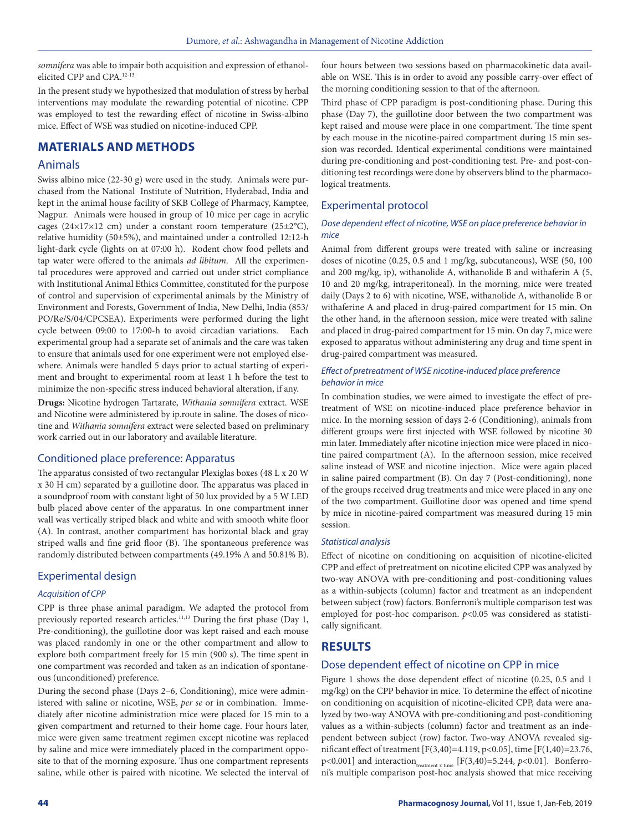*somnifera* was able to impair both acquisition and expression of ethanolelicited CPP and CPA.12-13

In the present study we hypothesized that modulation of stress by herbal interventions may modulate the rewarding potential of nicotine. CPP was employed to test the rewarding effect of nicotine in Swiss-albino mice. Effect of WSE was studied on nicotine-induced CPP.

# **MATERIALS AND METHODS**

#### Animals

Swiss albino mice (22-30 g) were used in the study. Animals were purchased from the National Institute of Nutrition, Hyderabad, India and kept in the animal house facility of SKB College of Pharmacy, Kamptee, Nagpur. Animals were housed in group of 10 mice per cage in acrylic cages (24×17×12 cm) under a constant room temperature (25±2°C), relative humidity (50±5%), and maintained under a controlled 12:12-h light-dark cycle (lights on at 07:00 h). Rodent chow food pellets and tap water were offered to the animals *ad libitum*. All the experimental procedures were approved and carried out under strict compliance with Institutional Animal Ethics Committee, constituted for the purpose of control and supervision of experimental animals by the Ministry of Environment and Forests, Government of India, New Delhi, India (853/ PO/Re/S/04/CPCSEA). Experiments were performed during the light cycle between 09:00 to 17:00-h to avoid circadian variations. Each experimental group had a separate set of animals and the care was taken to ensure that animals used for one experiment were not employed elsewhere. Animals were handled 5 days prior to actual starting of experiment and brought to experimental room at least 1 h before the test to minimize the non-specific stress induced behavioral alteration, if any.

**Drugs:** Nicotine hydrogen Tartarate, *Withania somnifera* extract. WSE and Nicotine were administered by ip.route in saline. The doses of nicotine and *Withania somnifera* extract were selected based on preliminary work carried out in our laboratory and available literature.

### Conditioned place preference: Apparatus

The apparatus consisted of two rectangular Plexiglas boxes (48 L x 20 W x 30 H cm) separated by a guillotine door. The apparatus was placed in a soundproof room with constant light of 50 lux provided by a 5 W LED bulb placed above center of the apparatus. In one compartment inner wall was vertically striped black and white and with smooth white floor (A). In contrast, another compartment has horizontal black and gray striped walls and fine grid floor (B). The spontaneous preference was randomly distributed between compartments (49.19% A and 50.81% B).

### Experimental design

#### *Acquisition of CPP*

CPP is three phase animal paradigm. We adapted the protocol from previously reported research articles.<sup>11,13</sup> During the first phase (Day 1, Pre-conditioning), the guillotine door was kept raised and each mouse was placed randomly in one or the other compartment and allow to explore both compartment freely for 15 min (900 s). The time spent in one compartment was recorded and taken as an indication of spontaneous (unconditioned) preference.

During the second phase (Days 2–6, Conditioning), mice were administered with saline or nicotine, WSE, *per se* or in combination. Immediately after nicotine administration mice were placed for 15 min to a given compartment and returned to their home cage. Four hours later, mice were given same treatment regimen except nicotine was replaced by saline and mice were immediately placed in the compartment opposite to that of the morning exposure. Thus one compartment represents saline, while other is paired with nicotine. We selected the interval of four hours between two sessions based on pharmacokinetic data available on WSE. This is in order to avoid any possible carry-over effect of the morning conditioning session to that of the afternoon.

Third phase of CPP paradigm is post-conditioning phase. During this phase (Day 7), the guillotine door between the two compartment was kept raised and mouse were place in one compartment. The time spent by each mouse in the nicotine-paired compartment during 15 min session was recorded. Identical experimental conditions were maintained during pre-conditioning and post-conditioning test. Pre- and post-conditioning test recordings were done by observers blind to the pharmacological treatments.

## Experimental protocol

#### *Dose dependent effect of nicotine, WSE on place preference behavior in mice*

Animal from different groups were treated with saline or increasing doses of nicotine (0.25, 0.5 and 1 mg/kg, subcutaneous), WSE (50, 100 and 200 mg/kg, ip), withanolide A, withanolide B and withaferin A (5, 10 and 20 mg/kg, intraperitoneal). In the morning, mice were treated daily (Days 2 to 6) with nicotine, WSE, withanolide A, withanolide B or withaferine A and placed in drug-paired compartment for 15 min. On the other hand, in the afternoon session, mice were treated with saline and placed in drug-paired compartment for 15 min. On day 7, mice were exposed to apparatus without administering any drug and time spent in drug-paired compartment was measured.

#### *Effect of pretreatment of WSE nicotine-induced place preference behavior in mice*

In combination studies, we were aimed to investigate the effect of pretreatment of WSE on nicotine-induced place preference behavior in mice. In the morning session of days 2-6 (Conditioning), animals from different groups were first injected with WSE followed by nicotine 30 min later. Immediately after nicotine injection mice were placed in nicotine paired compartment (A). In the afternoon session, mice received saline instead of WSE and nicotine injection. Mice were again placed in saline paired compartment (B). On day 7 (Post-conditioning), none of the groups received drug treatments and mice were placed in any one of the two compartment. Guillotine door was opened and time spend by mice in nicotine-paired compartment was measured during 15 min session.

#### *Statistical analysis*

Effect of nicotine on conditioning on acquisition of nicotine-elicited CPP and effect of pretreatment on nicotine elicited CPP was analyzed by two-way ANOVA with pre-conditioning and post-conditioning values as a within-subjects (column) factor and treatment as an independent between subject (row) factors. Bonferroni's multiple comparison test was employed for post-hoc comparison. *p*<0.05 was considered as statistically significant.

# **RESULTS**

### Dose dependent effect of nicotine on CPP in mice

Figure 1 shows the dose dependent effect of nicotine (0.25, 0.5 and 1 mg/kg) on the CPP behavior in mice. To determine the effect of nicotine on conditioning on acquisition of nicotine-elicited CPP, data were analyzed by two-way ANOVA with pre-conditioning and post-conditioning values as a within-subjects (column) factor and treatment as an independent between subject (row) factor. Two-way ANOVA revealed significant effect of treatment [F(3,40)=4.119, p<0.05], time [F(1,40)=23.76, p<0.001] and interaction  $t_{\text{treatment x time}}$  [F(3,40)=5.244, *p*<0.01]. Bonferroni's multiple comparison post-hoc analysis showed that mice receiving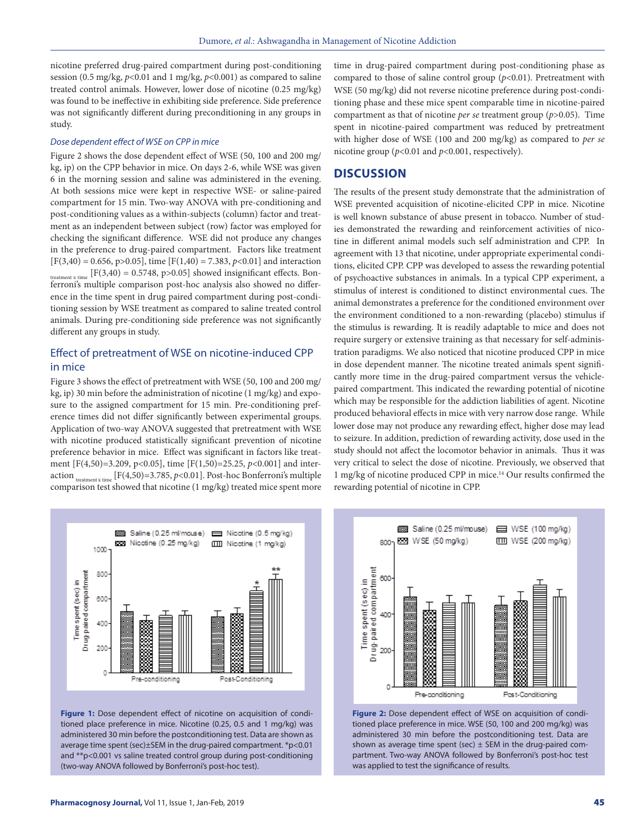nicotine preferred drug-paired compartment during post-conditioning session (0.5 mg/kg,  $p<0.01$  and 1 mg/kg,  $p<0.001$ ) as compared to saline treated control animals. However, lower dose of nicotine (0.25 mg/kg) was found to be ineffective in exhibiting side preference. Side preference was not significantly different during preconditioning in any groups in study.

#### *Dose dependent effect of WSE on CPP in mice*

Figure 2 shows the dose dependent effect of WSE (50, 100 and 200 mg/ kg, ip) on the CPP behavior in mice. On days 2-6, while WSE was given 6 in the morning session and saline was administered in the evening. At both sessions mice were kept in respective WSE- or saline-paired compartment for 15 min. Two-way ANOVA with pre-conditioning and post-conditioning values as a within-subjects (column) factor and treatment as an independent between subject (row) factor was employed for checking the significant difference. WSE did not produce any changes in the preference to drug-paired compartment. Factors like treatment [F(3,40) = 0.656, p>0.05], time [F(1,40) = 7.383, *p*<0.01] and interaction treatment x time  $[F(3,40) = 0.5748, p > 0.05]$  showed insignificant effects. Bonferroni's multiple comparison post-hoc analysis also showed no difference in the time spent in drug paired compartment during post-conditioning session by WSE treatment as compared to saline treated control animals. During pre-conditioning side preference was not significantly different any groups in study.

# Effect of pretreatment of WSE on nicotine-induced CPP in mice

Figure 3 shows the effect of pretreatment with WSE (50, 100 and 200 mg/ kg, ip) 30 min before the administration of nicotine (1 mg/kg) and exposure to the assigned compartment for 15 min. Pre-conditioning preference times did not differ significantly between experimental groups. Application of two-way ANOVA suggested that pretreatment with WSE with nicotine produced statistically significant prevention of nicotine preference behavior in mice. Effect was significant in factors like treatment [F(4,50)=3.209, p<0.05], time [F(1,50)=25.25, *p*<0.001] and interaction  $_{t_{\text{rearment}} \times t_{\text{time}}}$  [F(4,50)=3.785, *p*<0.01]. Post-hoc Bonferroni's multiple comparison test showed that nicotine (1 mg/kg) treated mice spent more time in drug-paired compartment during post-conditioning phase as compared to those of saline control group (*p*<0.01). Pretreatment with WSE (50 mg/kg) did not reverse nicotine preference during post-conditioning phase and these mice spent comparable time in nicotine-paired compartment as that of nicotine *per se* treatment group (*p*>0.05). Time spent in nicotine-paired compartment was reduced by pretreatment with higher dose of WSE (100 and 200 mg/kg) as compared to *per se* nicotine group (*p*<0.01 and *p*<0.001, respectively).

#### **DISCUSSION**

The results of the present study demonstrate that the administration of WSE prevented acquisition of nicotine-elicited CPP in mice. Nicotine is well known substance of abuse present in tobacco. Number of studies demonstrated the rewarding and reinforcement activities of nicotine in different animal models such self administration and CPP. In agreement with 13 that nicotine, under appropriate experimental conditions, elicited CPP. CPP was developed to assess the rewarding potential of psychoactive substances in animals. In a typical CPP experiment, a stimulus of interest is conditioned to distinct environmental cues. The animal demonstrates a preference for the conditioned environment over the environment conditioned to a non-rewarding (placebo) stimulus if the stimulus is rewarding. It is readily adaptable to mice and does not require surgery or extensive training as that necessary for self-administration paradigms. We also noticed that nicotine produced CPP in mice in dose dependent manner. The nicotine treated animals spent significantly more time in the drug-paired compartment versus the vehiclepaired compartment. This indicated the rewarding potential of nicotine which may be responsible for the addiction liabilities of agent. Nicotine produced behavioral effects in mice with very narrow dose range. While lower dose may not produce any rewarding effect, higher dose may lead to seizure. In addition, prediction of rewarding activity, dose used in the study should not affect the locomotor behavior in animals. Thus it was very critical to select the dose of nicotine. Previously, we observed that 1 mg/kg of nicotine produced CPP in mice.14 Our results confirmed the rewarding potential of nicotine in CPP.



**Figure 1:** Dose dependent effect of nicotine on acquisition of conditioned place preference in mice. Nicotine (0.25, 0.5 and 1 mg/kg) was administered 30 min before the postconditioning test. Data are shown as average time spent (sec)±SEM in the drug-paired compartment. \*p<0.01 and \*\*p<0.001 vs saline treated control group during post-conditioning (two-way ANOVA followed by Bonferroni's post-hoc test).



**Figure 2:** Dose dependent effect of WSE on acquisition of conditioned place preference in mice. WSE (50, 100 and 200 mg/kg) was administered 30 min before the postconditioning test. Data are shown as average time spent (sec)  $\pm$  SEM in the drug-paired compartment. Two-way ANOVA followed by Bonferroni's post-hoc test was applied to test the significance of results.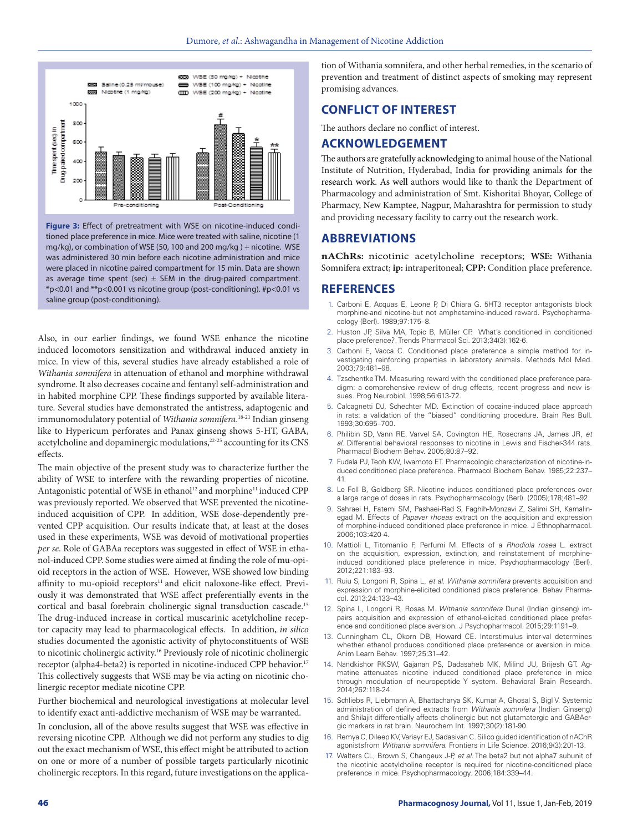

**Figure 3:** Effect of pretreatment with WSE on nicotine-induced conditioned place preference in mice. Mice were treated with saline, nicotine (1 mg/kg), or combination of WSE (50, 100 and 200 mg/kg ) + nicotine. WSE was administered 30 min before each nicotine administration and mice were placed in nicotine paired compartment for 15 min. Data are shown as average time spent (sec)  $\pm$  SEM in the drug-paired compartment. \*p<0.01 and \*\*p<0.001 vs nicotine group (post-conditioning). #p<0.01 vs saline group (post-conditioning).

Also, in our earlier findings, we found WSE enhance the nicotine induced locomotors sensitization and withdrawal induced anxiety in mice. In view of this, several studies have already established a role of *Withania somnifera* in attenuation of ethanol and morphine withdrawal syndrome. It also decreases cocaine and fentanyl self-administration and in habited morphine CPP. These findings supported by available literature. Several studies have demonstrated the antistress, adaptogenic and immunomodulatory potential of *Withania somnifera*. 18-21 Indian ginseng like to Hypericum perforates and Panax ginseng shows 5-HT, GABA, acetylcholine and dopaminergic modulations,<sup>22-25</sup> accounting for its CNS effects.

The main objective of the present study was to characterize further the ability of WSE to interfere with the rewarding properties of nicotine. Antagonistic potential of WSE in ethanol<sup>12</sup> and morphine<sup>11</sup> induced CPP was previously reported. We observed that WSE prevented the nicotineinduced acquisition of CPP. In addition, WSE dose-dependently prevented CPP acquisition. Our results indicate that, at least at the doses used in these experiments, WSE was devoid of motivational properties *per se*. Role of GABAa receptors was suggested in effect of WSE in ethanol-induced CPP. Some studies were aimed at finding the role of mu-opioid receptors in the action of WSE. However, WSE showed low binding affinity to mu-opioid receptors<sup>11</sup> and elicit naloxone-like effect. Previously it was demonstrated that WSE affect preferentially events in the cortical and basal forebrain cholinergic signal transduction cascade.15 The drug-induced increase in cortical muscarinic acetylcholine receptor capacity may lead to pharmacological effects. In addition, *in silico*  studies documented the agonistic activity of phytoconstituents of WSE to nicotinic cholinergic activity.<sup>16</sup> Previously role of nicotinic cholinergic receptor (alpha4-beta2) is reported in nicotine-induced CPP behavior.17 This collectively suggests that WSE may be via acting on nicotinic cholinergic receptor mediate nicotine CPP.

Further biochemical and neurological investigations at molecular level to identify exact anti-addictive mechanism of WSE may be warranted.

In conclusion, all of the above results suggest that WSE was effective in reversing nicotine CPP. Although we did not perform any studies to dig out the exact mechanism of WSE, this effect might be attributed to action on one or more of a number of possible targets particularly nicotinic cholinergic receptors. In this regard, future investigations on the application of Withania somnifera, and other herbal remedies, in the scenario of prevention and treatment of distinct aspects of smoking may represent promising advances.

# **CONFLICT OF INTEREST**

The authors declare no conflict of interest.

### **ACKNOWLEDGEMENT**

The authors are gratefully acknowledging to animal house of the National Institute of Nutrition, Hyderabad, India for providing animals for the research work. As well authors would like to thank the Department of Pharmacology and administration of Smt. Kishoritai Bhoyar, College of Pharmacy, New Kamptee, Nagpur, Maharashtra for permission to study and providing necessary facility to carry out the research work.

#### **ABBREVIATIONS**

**nAChRs:** nicotinic acetylcholine receptors; **WSE:** Withania Somnifera extract; **ip:** intraperitoneal; **CPP:** Condition place preference.

#### **REFERENCES**

- Carboni E, Acquas E, Leone P, Di Chiara G. 5HT3 receptor antagonists block morphine-and nicotine-but not amphetamine-induced reward. Psychopharmacology (Berl). 1989;97:175–8.
- 2. Huston JP, Silva MA, Topic B, Müller CP. What's conditioned in conditioned place preference?. Trends Pharmacol Sci. 2013;34(3):162-6.
- 3. Carboni E, Vacca C. Conditioned place preference a simple method for investigating reinforcing properties in laboratory animals. Methods Mol Med. 2003;79:481–98.
- 4. Tzschentke TM. Measuring reward with the conditioned place preference paradigm: a comprehensive review of drug effects, recent progress and new issues. Prog Neurobiol. 1998;56:613-72.
- 5. Calcagnetti DJ, Schechter MD. Extinction of cocaine-induced place approach in rats: a validation of the "biased" conditioning procedure. Brain Res Bull. 1993;30:695–700.
- 6. Philibin SD, Vann RE, Varvel SA, Covington HE, Rosecrans JA, James JR, *et al*. Differential behavioral responses to nicotine in Lewis and Fischer-344 rats. Pharmacol Biochem Behav. 2005;80:87–92.
- 7. Fudala PJ, Teoh KW, Iwamoto ET. Pharmacologic characterization of nicotine-induced conditioned place preference. Pharmacol Biochem Behav. 1985;22:237– 41.
- 8. Le Foll B, Goldberg SR. Nicotine induces conditioned place preferences over a large range of doses in rats. Psychopharmacology (Berl). (2005);178;481–92.
- 9. Sahraei H, Fatemi SM, Pashaei-Rad S, Faghih-Monzavi Z, Salimi SH, Kamalinegad M. Effects of *Papaver rhoeas* extract on the acquisition and expression of morphine-induced conditioned place preference in mice. J Ethnopharmacol. 2006;103:420-4.
- 10. Mattioli L, Titomanlio F, Perfumi M. Effects of a *Rhodiola rosea* L. extract on the acquisition, expression, extinction, and reinstatement of morphineinduced conditioned place preference in mice. Psychopharmacology (Berl). 2012;221:183–93.
- 11. Ruiu S, Longoni R, Spina L, *et al*. *Withania somnifera* prevents acquisition and expression of morphine-elicited conditioned place preference. Behav Pharmacol. 2013;24:133–43.
- 12. Spina L, Longoni R, Rosas M. *Withania somnifera* Dunal (Indian ginseng) impairs acquisition and expression of ethanol-elicited conditioned place preference and conditioned place aversion. J Psychopharmacol. 2015;29:1191–9.
- 13. Cunningham CL, Okorn DB, Howard CE. Interstimulus inter-val determines whether ethanol produces conditioned place prefer-ence or aversion in mice. Anim Learn Behav. 1997;25:31–42.
- 14. Nandkishor RKSW, Gajanan PS, Dadasaheb MK, Milind JU, Brijesh GT. Agmatine attenuates nicotine induced conditioned place preference in mice through modulation of neuropeptide Y system. Behavioral Brain Research. 2014;262:118-24.
- 15. Schliebs R, Liebmann A, Bhattacharya SK, Kumar A, Ghosal S, Bigl V. Systemic administration of defined extracts from *Withania somnifera* (Indian Ginseng) and Shilajit differentially affects cholinergic but not glutamatergic and GABAergic markers in rat brain. Neurochem Int. 1997;30(2):181-90.
- 16. Remya C, Dileep KV, Variayr EJ, Sadasivan C. Silico guided identification of nAChR agonistsfrom *Withania somnifera*. Frontiers in Life Science. 2016;9(3):201-13.
- 17. Walters CL, Brown S, Changeux J-P, *et al*. The beta2 but not alpha7 subunit of the nicotinic acetylcholine receptor is required for nicotine-conditioned place preference in mice. Psychopharmacology. 2006;184:339–44.